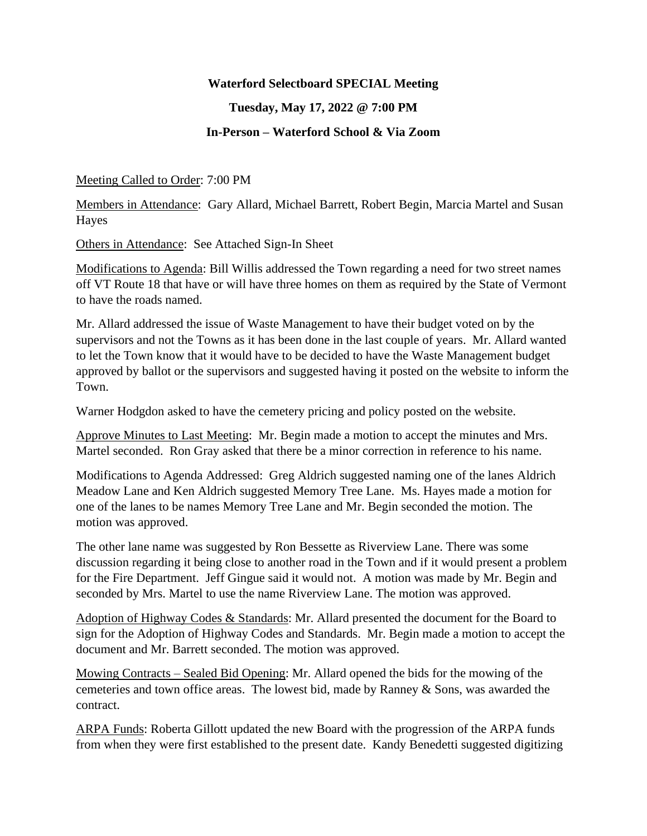## **Waterford Selectboard SPECIAL Meeting**

## **Tuesday, May 17, 2022 @ 7:00 PM**

## **In-Person – Waterford School & Via Zoom**

Meeting Called to Order: 7:00 PM

Members in Attendance: Gary Allard, Michael Barrett, Robert Begin, Marcia Martel and Susan Hayes

Others in Attendance: See Attached Sign-In Sheet

Modifications to Agenda: Bill Willis addressed the Town regarding a need for two street names off VT Route 18 that have or will have three homes on them as required by the State of Vermont to have the roads named.

Mr. Allard addressed the issue of Waste Management to have their budget voted on by the supervisors and not the Towns as it has been done in the last couple of years. Mr. Allard wanted to let the Town know that it would have to be decided to have the Waste Management budget approved by ballot or the supervisors and suggested having it posted on the website to inform the Town.

Warner Hodgdon asked to have the cemetery pricing and policy posted on the website.

Approve Minutes to Last Meeting: Mr. Begin made a motion to accept the minutes and Mrs. Martel seconded. Ron Gray asked that there be a minor correction in reference to his name.

Modifications to Agenda Addressed: Greg Aldrich suggested naming one of the lanes Aldrich Meadow Lane and Ken Aldrich suggested Memory Tree Lane. Ms. Hayes made a motion for one of the lanes to be names Memory Tree Lane and Mr. Begin seconded the motion. The motion was approved.

The other lane name was suggested by Ron Bessette as Riverview Lane. There was some discussion regarding it being close to another road in the Town and if it would present a problem for the Fire Department. Jeff Gingue said it would not. A motion was made by Mr. Begin and seconded by Mrs. Martel to use the name Riverview Lane. The motion was approved.

Adoption of Highway Codes & Standards: Mr. Allard presented the document for the Board to sign for the Adoption of Highway Codes and Standards. Mr. Begin made a motion to accept the document and Mr. Barrett seconded. The motion was approved.

Mowing Contracts – Sealed Bid Opening: Mr. Allard opened the bids for the mowing of the cemeteries and town office areas. The lowest bid, made by Ranney & Sons, was awarded the contract.

ARPA Funds: Roberta Gillott updated the new Board with the progression of the ARPA funds from when they were first established to the present date. Kandy Benedetti suggested digitizing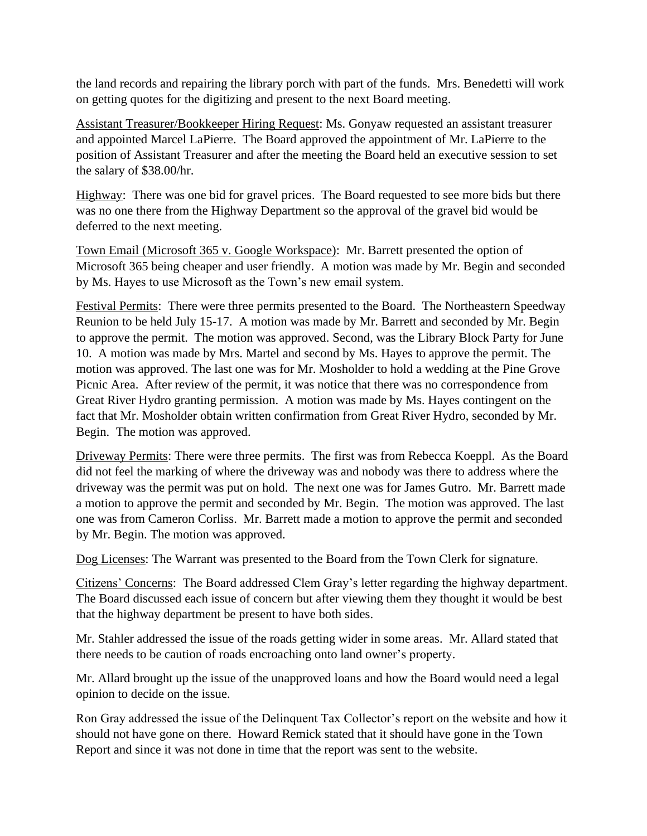the land records and repairing the library porch with part of the funds. Mrs. Benedetti will work on getting quotes for the digitizing and present to the next Board meeting.

Assistant Treasurer/Bookkeeper Hiring Request: Ms. Gonyaw requested an assistant treasurer and appointed Marcel LaPierre. The Board approved the appointment of Mr. LaPierre to the position of Assistant Treasurer and after the meeting the Board held an executive session to set the salary of \$38.00/hr.

Highway: There was one bid for gravel prices. The Board requested to see more bids but there was no one there from the Highway Department so the approval of the gravel bid would be deferred to the next meeting.

Town Email (Microsoft 365 v. Google Workspace): Mr. Barrett presented the option of Microsoft 365 being cheaper and user friendly. A motion was made by Mr. Begin and seconded by Ms. Hayes to use Microsoft as the Town's new email system.

Festival Permits: There were three permits presented to the Board. The Northeastern Speedway Reunion to be held July 15-17. A motion was made by Mr. Barrett and seconded by Mr. Begin to approve the permit. The motion was approved. Second, was the Library Block Party for June 10. A motion was made by Mrs. Martel and second by Ms. Hayes to approve the permit. The motion was approved. The last one was for Mr. Mosholder to hold a wedding at the Pine Grove Picnic Area. After review of the permit, it was notice that there was no correspondence from Great River Hydro granting permission. A motion was made by Ms. Hayes contingent on the fact that Mr. Mosholder obtain written confirmation from Great River Hydro, seconded by Mr. Begin. The motion was approved.

Driveway Permits: There were three permits. The first was from Rebecca Koeppl. As the Board did not feel the marking of where the driveway was and nobody was there to address where the driveway was the permit was put on hold. The next one was for James Gutro. Mr. Barrett made a motion to approve the permit and seconded by Mr. Begin. The motion was approved. The last one was from Cameron Corliss. Mr. Barrett made a motion to approve the permit and seconded by Mr. Begin. The motion was approved.

Dog Licenses: The Warrant was presented to the Board from the Town Clerk for signature.

Citizens' Concerns: The Board addressed Clem Gray's letter regarding the highway department. The Board discussed each issue of concern but after viewing them they thought it would be best that the highway department be present to have both sides.

Mr. Stahler addressed the issue of the roads getting wider in some areas. Mr. Allard stated that there needs to be caution of roads encroaching onto land owner's property.

Mr. Allard brought up the issue of the unapproved loans and how the Board would need a legal opinion to decide on the issue.

Ron Gray addressed the issue of the Delinquent Tax Collector's report on the website and how it should not have gone on there. Howard Remick stated that it should have gone in the Town Report and since it was not done in time that the report was sent to the website.